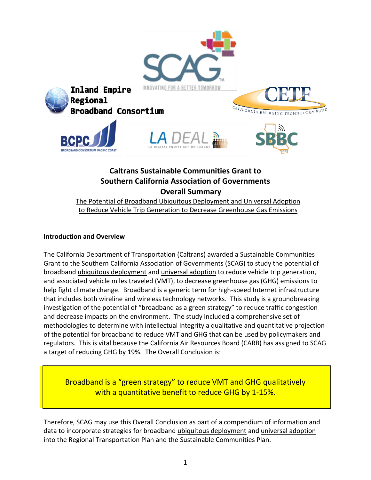

# **Caltrans Sustainable Communities Grant to Southern California Association of Governments Overall Summary**

The Potential of Broadband Ubiquitous Deployment and Universal Adoption to Reduce Vehicle Trip Generation to Decrease Greenhouse Gas Emissions

## **Introduction and Overview**

The California Department of Transportation (Caltrans) awarded a Sustainable Communities Grant to the Southern California Association of Governments (SCAG) to study the potential of broadband ubiquitous deployment and universal adoption to reduce vehicle trip generation, and associated vehicle miles traveled (VMT), to decrease greenhouse gas (GHG) emissions to help fight climate change. Broadband is a generic term for high-speed Internet infrastructure that includes both wireline and wireless technology networks. This study is a groundbreaking investigation of the potential of "broadband as a green strategy" to reduce traffic congestion and decrease impacts on the environment. The study included a comprehensive set of methodologies to determine with intellectual integrity a qualitative and quantitative projection of the potential for broadband to reduce VMT and GHG that can be used by policymakers and regulators. This is vital because the California Air Resources Board (CARB) has assigned to SCAG a target of reducing GHG by 19%. The Overall Conclusion is:

Broadband is a "green strategy" to reduce VMT and GHG qualitatively with a quantitative benefit to reduce GHG by 1-15%.

Therefore, SCAG may use this Overall Conclusion as part of a compendium of information and data to incorporate strategies for broadband ubiquitous deployment and universal adoption into the Regional Transportation Plan and the Sustainable Communities Plan.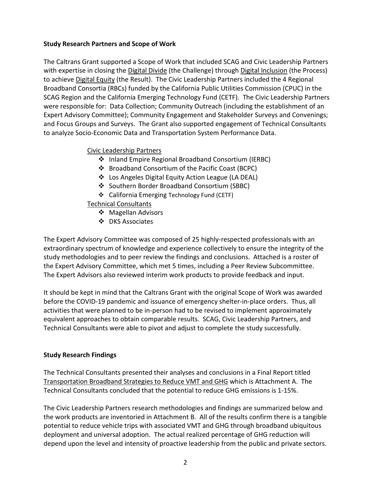#### **Study Research Partners and Scope of Work**

The Caltrans Grant supported a Scope of Work that included SCAG and Civic Leadership Partners with expertise in closing the Digital Divide (the Challenge) through Digital Inclusion (the Process) to achieve Digital Equity (the Result). The Civic Leadership Partners included the 4 Regional Broadband Consortia (RBCs) funded by the California Public Utilities Commission (CPUC) in the SCAG Region and the California Emerging Technology Fund (CETF). The Civic Leadership Partners were responsible for: Data Collection; Community Outreach (including the establishment of an Expert Advisory Committee); Community Engagement and Stakeholder Surveys and Convenings; and Focus Groups and Surveys. The Grant also supported engagement of Technical Consultants to analyze Socio-Economic Data and Transportation System Performance Data.

#### Civic Leadership Partners

- ❖ Inland Empire Regional Broadband Consortium (IERBC)
- ❖ Broadband Consortium of the Pacific Coast (BCPC)
- ❖ Los Angeles Digital Equity Action League (LA DEAL)
- ❖ Southern Border Broadband Consortium (SBBC)
- ❖ California Emerging Technology Fund (CETF)

## Technical Consultants

- ❖ Magellan Advisors
- ❖ DKS Associates

The Expert Advisory Committee was composed of 25 highly-respected professionals with an extraordinary spectrum of knowledge and experience collectively to ensure the integrity of the study methodologies and to peer review the findings and conclusions. Attached is a roster of the Expert Advisory Committee, which met 5 times, including a Peer Review Subcommittee. The Expert Advisors also reviewed interim work products to provide feedback and input.

It should be kept in mind that the Caltrans Grant with the original Scope of Work was awarded before the COVID-19 pandemic and issuance of emergency shelter-in-place orders. Thus, all activities that were planned to be in-person had to be revised to implement approximately equivalent approaches to obtain comparable results. SCAG, Civic Leadership Partners, and Technical Consultants were able to pivot and adjust to complete the study successfully.

## **Study Research Findings**

The Technical Consultants presented their analyses and conclusions in a Final Report titled Transportation Broadband Strategies to Reduce VMT and GHG which is Attachment A. The Technical Consultants concluded that the potential to reduce GHG emissions is 1-15%.

The Civic Leadership Partners research methodologies and findings are summarized below and the work products are inventoried in Attachment B. All of the results confirm there is a tangible potential to reduce vehicle trips with associated VMT and GHG through broadband ubiquitous deployment and universal adoption. The actual realized percentage of GHG reduction will depend upon the level and intensity of proactive leadership from the public and private sectors.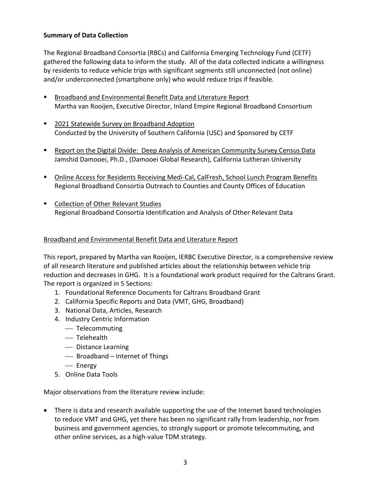## **Summary of Data Collection**

The Regional Broadband Consortia (RBCs) and California Emerging Technology Fund (CETF) gathered the following data to inform the study. All of the data collected indicate a willingness by residents to reduce vehicle trips with significant segments still unconnected (not online) and/or underconnected (smartphone only) who would reduce trips if feasible.

- Broadband and Environmental Benefit Data and Literature Report Martha van Rooijen, Executive Director, Inland Empire Regional Broadband Consortium
- 2021 Statewide Survey on Broadband Adoption Conducted by the University of Southern California (USC) and Sponsored by CETF
- Report on the Digital Divide: Deep Analysis of American Community Survey Census Data Jamshid Damooei, Ph.D., (Damooei Global Research), California Lutheran University
- Online Access for Residents Receiving Medi-Cal, CalFresh, School Lunch Program Benefits Regional Broadband Consortia Outreach to Counties and County Offices of Education
- Collection of Other Relevant Studies Regional Broadband Consortia Identification and Analysis of Other Relevant Data

#### Broadband and Environmental Benefit Data and Literature Report

This report, prepared by Martha van Rooijen, IERBC Executive Director, is a comprehensive review of all research literature and published articles about the relationship between vehicle trip reduction and decreases in GHG. It is a foundational work product required for the Caltrans Grant. The report is organized in 5 Sections:

- 1. Foundational Reference Documents for Caltrans Broadband Grant
- 2. California Specific Reports and Data (VMT, GHG, Broadband)
- 3. National Data, Articles, Research
- 4. Industry Centric Information
	- ⎯ Telecommuting
	- Telehealth
	- ⎯ Distance Learning
	- Broadband Internet of Things
	- Energy
- 5. Online Data Tools

Major observations from the literature review include:

• There is data and research available supporting the use of the Internet based technologies to reduce VMT and GHG, yet there has been no significant rally from leadership, nor from business and government agencies, to strongly support or promote telecommuting, and other online services, as a high-value TDM strategy.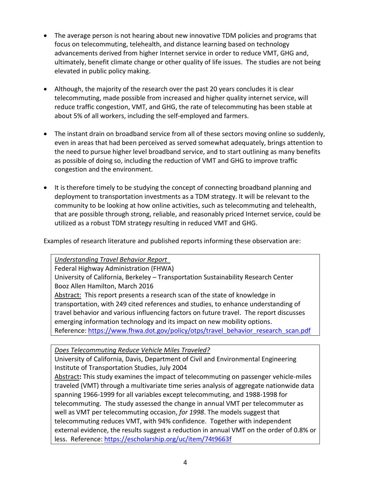- The average person is not hearing about new innovative TDM policies and programs that focus on telecommuting, telehealth, and distance learning based on technology advancements derived from higher Internet service in order to reduce VMT, GHG and, ultimately, benefit climate change or other quality of life issues. The studies are not being elevated in public policy making.
- Although, the majority of the research over the past 20 years concludes it is clear telecommuting, made possible from increased and higher quality internet service, will reduce traffic congestion, VMT, and GHG, the rate of telecommuting has been stable at about 5% of all workers, including the self-employed and farmers.
- The instant drain on broadband service from all of these sectors moving online so suddenly, even in areas that had been perceived as served somewhat adequately, brings attention to the need to pursue higher level broadband service, and to start outlining as many benefits as possible of doing so, including the reduction of VMT and GHG to improve traffic congestion and the environment.
- It is therefore timely to be studying the concept of connecting broadband planning and deployment to transportation investments as a TDM strategy. It will be relevant to the community to be looking at how online activities, such as telecommuting and telehealth, that are possible through strong, reliable, and reasonably priced Internet service, could be utilized as a robust TDM strategy resulting in reduced VMT and GHG.

Examples of research literature and published reports informing these observation are:

*Understanding Travel Behavior Report*  Federal Highway Administration (FHWA) University of California, Berkeley – Transportation Sustainability Research Center Booz Allen Hamilton, March 2016 Abstract:This report presents a research scan of the state of knowledge in transportation, with 249 cited references and studies, to enhance understanding of travel behavior and various influencing factors on future travel. The report discusses emerging information technology and its impact on new mobility options. Reference: [https://www.fhwa.dot.gov/policy/otps/travel\\_behavior\\_research\\_scan.pdf](https://www.fhwa.dot.gov/policy/otps/travel_behavior_research_scan.pdf0)

*Does Telecommuting Reduce Vehicle Miles Traveled?* 

University of California, Davis, Department of Civil and Environmental Engineering Institute of Transportation Studies, July 2004

Abstract**:** This study examines the impact of telecommuting on passenger vehicle-miles traveled (VMT) through a multivariate time series analysis of aggregate nationwide data spanning 1966-1999 for all variables except telecommuting, and 1988-1998 for telecommuting. The study assessed the change in annual VMT per telecommuter as well as VMT per telecommuting occasion, *for 1998*. The models suggest that telecommuting reduces VMT, with 94% confidence. Together with independent external evidence, the results suggest a reduction in annual VMT on the order of 0.8% or less. Reference:<https://escholarship.org/uc/item/74t9663f>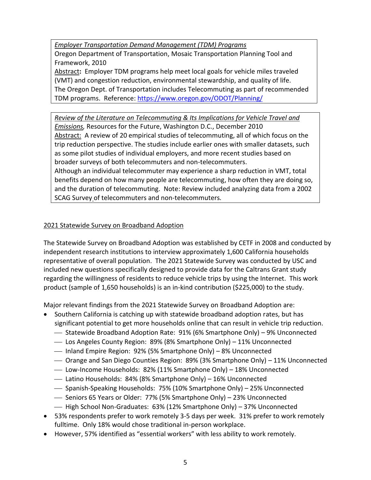*Employer Transportation Demand Management (TDM) Programs* 

Oregon Department of Transportation, Mosaic Transportation Planning Tool and Framework, 2010

Abstract**:** Employer TDM programs help meet local goals for vehicle miles traveled (VMT) and congestion reduction, environmental stewardship, and quality of life. The Oregon Dept. of Transportation includes Telecommuting as part of recommended TDM programs. Reference: [https://www.oregon.gov/ODOT/Planning/](https://www.oregon.gov/ODOT/Planning/Documents/Mosaic-Employer-based-TDM-Programs.pdf)

*Review of the Literature on Telecommuting & Its Implications for Vehicle Travel and Emissions,* Resources for the Future, Washington D.C., December 2010 Abstract:A review of 20 empirical studies of telecommuting, all of which focus on the trip reduction perspective. The studies include earlier ones with smaller datasets, such as some pilot studies of individual employers, and more recent studies based on broader surveys of both telecommuters and non-telecommuters.

Although an individual telecommuter may experience a sharp reduction in VMT, total benefits depend on how many people are telecommuting, how often they are doing so, and the duration of telecommuting. Note: Review included analyzing data from a 2002 SCAG Survey of telecommuters and non-telecommuters*.*

## 2021 Statewide Survey on Broadband Adoption

The Statewide Survey on Broadband Adoption was established by CETF in 2008 and conducted by independent research institutions to interview approximately 1,600 California households representative of overall population. The 2021 Statewide Survey was conducted by USC and included new questions specifically designed to provide data for the Caltrans Grant study regarding the willingness of residents to reduce vehicle trips by using the Internet. This work product (sample of 1,650 households) is an in-kind contribution (\$225,000) to the study.

Major relevant findings from the 2021 Statewide Survey on Broadband Adoption are:

- Southern California is catching up with statewide broadband adoption rates, but has significant potential to get more households online that can result in vehicle trip reduction.
	- ⎯ Statewide Broadband Adoption Rate: 91% (6% Smartphone Only) 9% Unconnected
	- Los Angeles County Region: 89% (8% Smartphone Only) 11% Unconnected
	- ⎯ Inland Empire Region: 92% (5% Smartphone Only) 8% Unconnected
	- $\sim$  Orange and San Diego Counties Region: 89% (3% Smartphone Only) 11% Unconnected
	- Low-Income Households: 82% (11% Smartphone Only) 18% Unconnected
	- ⎯ Latino Households: 84% (8% Smartphone Only) 16% Unconnected
	- ⎯ Spanish-Speaking Households: 75% (10% Smartphone Only) 25% Unconnected
	- ⎯ Seniors 65 Years or Older: 77% (5% Smartphone Only) 23% Unconnected
	- High School Non-Graduates: 63% (12% Smartphone Only) 37% Unconnected
- 53% respondents prefer to work remotely 3-5 days per week. 31% prefer to work remotely fulltime. Only 18% would chose traditional in-person workplace.
- However, 57% identified as "essential workers" with less ability to work remotely.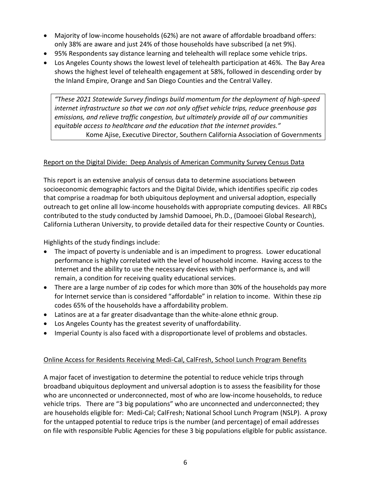- Majority of low-income households (62%) are not aware of affordable broadband offers: only 38% are aware and just 24% of those households have subscribed (a net 9%).
- 95% Respondents say distance learning and telehealth will replace some vehicle trips.
- Los Angeles County shows the lowest level of telehealth participation at 46%. The Bay Area shows the highest level of telehealth engagement at 58%, followed in descending order by the Inland Empire, Orange and San Diego Counties and the Central Valley.

*"These 2021 Statewide Survey findings build momentum for the deployment of high‐speed internet infrastructure so that we can not only offset vehicle trips, reduce greenhouse gas emissions, and relieve traffic congestion, but ultimately provide all of our communities equitable access to healthcare and the education that the internet provides."*  Kome Ajise, Executive Director, Southern California Association of Governments

## Report on the Digital Divide: Deep Analysis of American Community Survey Census Data

This report is an extensive analysis of census data to determine associations between socioeconomic demographic factors and the Digital Divide, which identifies specific zip codes that comprise a roadmap for both ubiquitous deployment and universal adoption, especially outreach to get online all low-income households with appropriate computing devices. All RBCs contributed to the study conducted by Jamshid Damooei, Ph.D., (Damooei Global Research), California Lutheran University, to provide detailed data for their respective County or Counties.

Highlights of the study findings include:

- The impact of poverty is undeniable and is an impediment to progress. Lower educational performance is highly correlated with the level of household income. Having access to the Internet and the ability to use the necessary devices with high performance is, and will remain, a condition for receiving quality educational services.
- There are a large number of zip codes for which more than 30% of the households pay more for Internet service than is considered "affordable" in relation to income. Within these zip codes 65% of the households have a affordability problem.
- Latinos are at a far greater disadvantage than the white-alone ethnic group.
- Los Angeles County has the greatest severity of unaffordability.
- Imperial County is also faced with a disproportionate level of problems and obstacles.

## Online Access for Residents Receiving Medi-Cal, CalFresh, School Lunch Program Benefits

A major facet of investigation to determine the potential to reduce vehicle trips through broadband ubiquitous deployment and universal adoption is to assess the feasibility for those who are unconnected or underconnected, most of who are low-income households, to reduce vehicle trips. There are "3 big populations" who are unconnected and underconnected; they are households eligible for: Medi-Cal; CalFresh; National School Lunch Program (NSLP). A proxy for the untapped potential to reduce trips is the number (and percentage) of email addresses on file with responsible Public Agencies for these 3 big populations eligible for public assistance.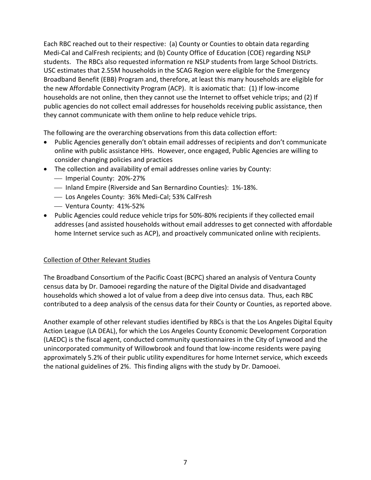Each RBC reached out to their respective: (a) County or Counties to obtain data regarding Medi-Cal and CalFresh recipients; and (b) County Office of Education (COE) regarding NSLP students. The RBCs also requested information re NSLP students from large School Districts. USC estimates that 2.55M households in the SCAG Region were eligible for the Emergency Broadband Benefit (EBB) Program and, therefore, at least this many households are eligible for the new Affordable Connectivity Program (ACP). It is axiomatic that: (1) If low-income households are not online, then they cannot use the Internet to offset vehicle trips; and (2) If public agencies do not collect email addresses for households receiving public assistance, then they cannot communicate with them online to help reduce vehicle trips.

The following are the overarching observations from this data collection effort:

- Public Agencies generally don't obtain email addresses of recipients and don't communicate online with public assistance HHs. However, once engaged, Public Agencies are willing to consider changing policies and practices
- The collection and availability of email addresses online varies by County:
	- ⎯ Imperial County: 20%-27%
	- ⎯ Inland Empire (Riverside and San Bernardino Counties): 1%-18%.
	- Los Angeles County: 36% Medi-Cal; 53% CalFresh
	- ⎯ Ventura County: 41%-52%
- Public Agencies could reduce vehicle trips for 50%-80% recipients if they collected email addresses (and assisted households without email addresses to get connected with affordable home Internet service such as ACP), and proactively communicated online with recipients.

## Collection of Other Relevant Studies

The Broadband Consortium of the Pacific Coast (BCPC) shared an analysis of Ventura County census data by Dr. Damooei regarding the nature of the Digital Divide and disadvantaged households which showed a lot of value from a deep dive into census data. Thus, each RBC contributed to a deep analysis of the census data for their County or Counties, as reported above.

Another example of other relevant studies identified by RBCs is that the Los Angeles Digital Equity Action League (LA DEAL), for which the Los Angeles County Economic Development Corporation (LAEDC) is the fiscal agent, conducted community questionnaires in the City of Lynwood and the unincorporated community of Willowbrook and found that low-income residents were paying approximately 5.2% of their public utility expenditures for home Internet service, which exceeds the national guidelines of 2%. This finding aligns with the study by Dr. Damooei.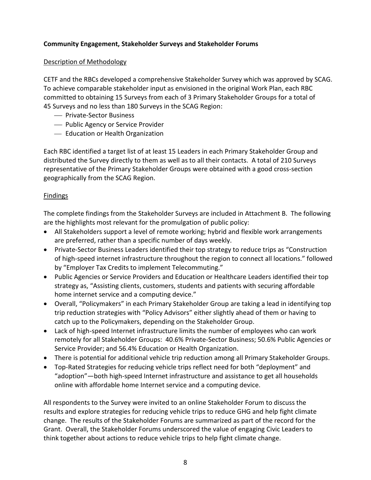## **Community Engagement, Stakeholder Surveys and Stakeholder Forums**

#### Description of Methodology

CETF and the RBCs developed a comprehensive Stakeholder Survey which was approved by SCAG. To achieve comparable stakeholder input as envisioned in the original Work Plan, each RBC committed to obtaining 15 Surveys from each of 3 Primary Stakeholder Groups for a total of 45 Surveys and no less than 180 Surveys in the SCAG Region:

- ⎯ Private-Sector Business
- $-$  Public Agency or Service Provider
- ⎯ Education or Health Organization

Each RBC identified a target list of at least 15 Leaders in each Primary Stakeholder Group and distributed the Survey directly to them as well as to all their contacts. A total of 210 Surveys representative of the Primary Stakeholder Groups were obtained with a good cross-section geographically from the SCAG Region.

#### **Findings**

The complete findings from the Stakeholder Surveys are included in Attachment B. The following are the highlights most relevant for the promulgation of public policy:

- All Stakeholders support a level of remote working; hybrid and flexible work arrangements are preferred, rather than a specific number of days weekly.
- Private-Sector Business Leaders identified their top strategy to reduce trips as "Construction of high-speed internet infrastructure throughout the region to connect all locations." followed by "Employer Tax Credits to implement Telecommuting."
- Public Agencies or Service Providers and Education or Healthcare Leaders identified their top strategy as, "Assisting clients, customers, students and patients with securing affordable home internet service and a computing device."
- Overall, "Policymakers" in each Primary Stakeholder Group are taking a lead in identifying top trip reduction strategies with "Policy Advisors" either slightly ahead of them or having to catch up to the Policymakers, depending on the Stakeholder Group.
- Lack of high-speed Internet infrastructure limits the number of employees who can work remotely for all Stakeholder Groups: 40.6% Private-Sector Business; 50.6% Public Agencies or Service Provider; and 56.4% Education or Health Organization.
- There is potential for additional vehicle trip reduction among all Primary Stakeholder Groups.
- Top-Rated Strategies for reducing vehicle trips reflect need for both "deployment" and "adoption"—both high-speed Internet infrastructure and assistance to get all households online with affordable home Internet service and a computing device.

All respondents to the Survey were invited to an online Stakeholder Forum to discuss the results and explore strategies for reducing vehicle trips to reduce GHG and help fight climate change. The results of the Stakeholder Forums are summarized as part of the record for the Grant. Overall, the Stakeholder Forums underscored the value of engaging Civic Leaders to think together about actions to reduce vehicle trips to help fight climate change.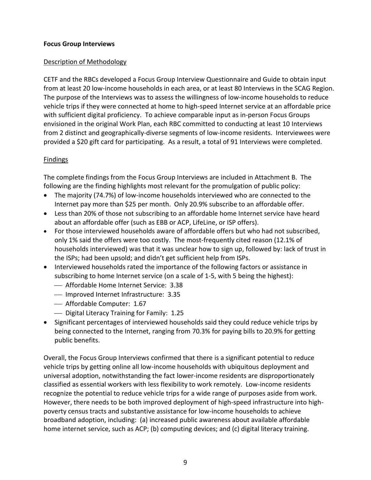#### **Focus Group Interviews**

#### Description of Methodology

CETF and the RBCs developed a Focus Group Interview Questionnaire and Guide to obtain input from at least 20 low-income households in each area, or at least 80 Interviews in the SCAG Region. The purpose of the Interviews was to assess the willingness of low-income households to reduce vehicle trips if they were connected at home to high-speed Internet service at an affordable price with sufficient digital proficiency. To achieve comparable input as in-person Focus Groups envisioned in the original Work Plan, each RBC committed to conducting at least 10 Interviews from 2 distinct and geographically-diverse segments of low-income residents. Interviewees were provided a \$20 gift card for participating. As a result, a total of 91 Interviews were completed.

## Findings

The complete findings from the Focus Group Interviews are included in Attachment B. The following are the finding highlights most relevant for the promulgation of public policy:

- The majority (74.7%) of low-income households interviewed who are connected to the Internet pay more than \$25 per month. Only 20.9% subscribe to an affordable offer.
- Less than 20% of those not subscribing to an affordable home Internet service have heard about an affordable offer (such as EBB or ACP, LifeLine, or ISP offers).
- For those interviewed households aware of affordable offers but who had not subscribed, only 1% said the offers were too costly. The most-frequently cited reason (12.1% of households interviewed) was that it was unclear how to sign up, followed by: lack of trust in the ISPs; had been upsold; and didn't get sufficient help from ISPs.
- Interviewed households rated the importance of the following factors or assistance in subscribing to home Internet service (on a scale of 1-5, with 5 being the highest):
	- ⎯ Affordable Home Internet Service: 3.38
	- ⎯ Improved Internet Infrastructure: 3.35
	- Affordable Computer: 1.67
	- ⎯ Digital Literacy Training for Family: 1.25
- Significant percentages of interviewed households said they could reduce vehicle trips by being connected to the Internet, ranging from 70.3% for paying bills to 20.9% for getting public benefits.

Overall, the Focus Group Interviews confirmed that there is a significant potential to reduce vehicle trips by getting online all low-income households with ubiquitous deployment and universal adoption, notwithstanding the fact lower-income residents are disproportionately classified as essential workers with less flexibility to work remotely. Low-income residents recognize the potential to reduce vehicle trips for a wide range of purposes aside from work. However, there needs to be both improved deployment of high-speed infrastructure into highpoverty census tracts and substantive assistance for low-income households to achieve broadband adoption, including: (a) increased public awareness about available affordable home internet service, such as ACP; (b) computing devices; and (c) digital literacy training.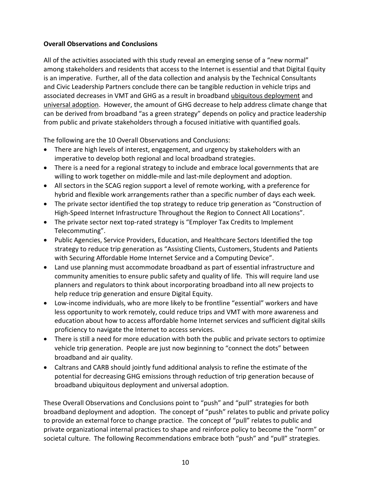#### **Overall Observations and Conclusions**

All of the activities associated with this study reveal an emerging sense of a "new normal" among stakeholders and residents that access to the Internet is essential and that Digital Equity is an imperative. Further, all of the data collection and analysis by the Technical Consultants and Civic Leadership Partners conclude there can be tangible reduction in vehicle trips and associated decreases in VMT and GHG as a result in broadband ubiquitous deployment and universal adoption. However, the amount of GHG decrease to help address climate change that can be derived from broadband "as a green strategy" depends on policy and practice leadership from public and private stakeholders through a focused initiative with quantified goals.

The following are the 10 Overall Observations and Conclusions:

- There are high levels of interest, engagement, and urgency by stakeholders with an imperative to develop both regional and local broadband strategies.
- There is a need for a regional strategy to include and embrace local governments that are willing to work together on middle-mile and last-mile deployment and adoption.
- All sectors in the SCAG region support a level of remote working, with a preference for hybrid and flexible work arrangements rather than a specific number of days each week.
- The private sector identified the top strategy to reduce trip generation as "Construction of High-Speed Internet Infrastructure Throughout the Region to Connect All Locations".
- The private sector next top-rated strategy is "Employer Tax Credits to Implement Telecommuting".
- Public Agencies, Service Providers, Education, and Healthcare Sectors Identified the top strategy to reduce trip generation as "Assisting Clients, Customers, Students and Patients with Securing Affordable Home Internet Service and a Computing Device".
- Land use planning must accommodate broadband as part of essential infrastructure and community amenities to ensure public safety and quality of life. This will require land use planners and regulators to think about incorporating broadband into all new projects to help reduce trip generation and ensure Digital Equity.
- Low-income individuals, who are more likely to be frontline "essential" workers and have less opportunity to work remotely, could reduce trips and VMT with more awareness and education about how to access affordable home Internet services and sufficient digital skills proficiency to navigate the Internet to access services.
- There is still a need for more education with both the public and private sectors to optimize vehicle trip generation. People are just now beginning to "connect the dots" between broadband and air quality.
- Caltrans and CARB should jointly fund additional analysis to refine the estimate of the potential for decreasing GHG emissions through reduction of trip generation because of broadband ubiquitous deployment and universal adoption.

These Overall Observations and Conclusions point to "push" and "pull" strategies for both broadband deployment and adoption. The concept of "push" relates to public and private policy to provide an external force to change practice. The concept of "pull" relates to public and private organizational internal practices to shape and reinforce policy to become the "norm" or societal culture. The following Recommendations embrace both "push" and "pull" strategies.